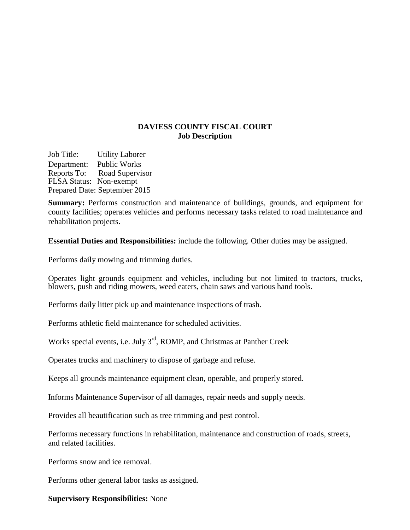## **DAVIESS COUNTY FISCAL COURT Job Description**

Job Title: Utility Laborer Department: Public Works Reports To: Road Supervisor FLSA Status: Non-exempt Prepared Date: September 2015

**Summary:** Performs construction and maintenance of buildings, grounds, and equipment for county facilities; operates vehicles and performs necessary tasks related to road maintenance and rehabilitation projects.

**Essential Duties and Responsibilities:** include the following. Other duties may be assigned.

Performs daily mowing and trimming duties.

Operates light grounds equipment and vehicles, including but not limited to tractors, trucks, blowers, push and riding mowers, weed eaters, chain saws and various hand tools.

Performs daily litter pick up and maintenance inspections of trash.

Performs athletic field maintenance for scheduled activities.

Works special events, i.e. July 3<sup>rd</sup>, ROMP, and Christmas at Panther Creek

Operates trucks and machinery to dispose of garbage and refuse.

Keeps all grounds maintenance equipment clean, operable, and properly stored.

Informs Maintenance Supervisor of all damages, repair needs and supply needs.

Provides all beautification such as tree trimming and pest control.

Performs necessary functions in rehabilitation, maintenance and construction of roads, streets, and related facilities.

Performs snow and ice removal.

Performs other general labor tasks as assigned.

**Supervisory Responsibilities:** None